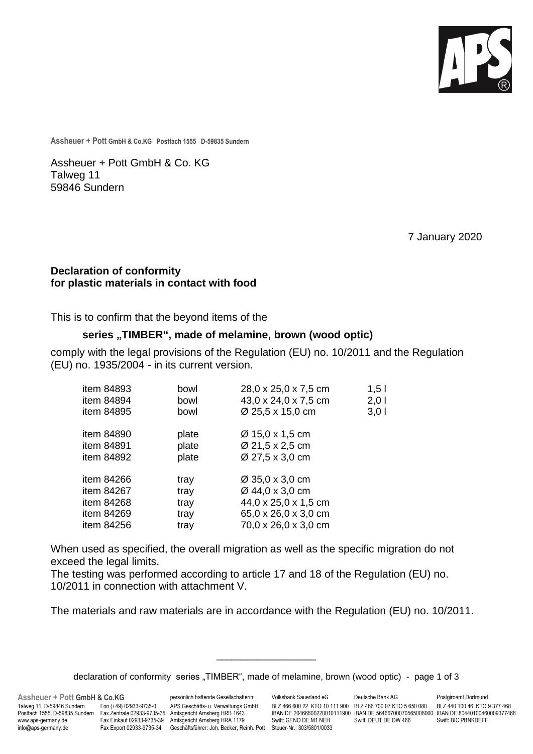

**Assheuer + Pott GmbH & Co.KG Postfach 1555 D-59835 Sundern**

Assheuer + Pott GmbH & Co. KG Talweg 11 59846 Sundern

7 January 2020

## **Declaration of conformity for plastic materials in contact with food**

This is to confirm that the beyond items of the

## **series "TIMBER", made of melamine, brown (wood optic)**

comply with the legal provisions of the Regulation (EU) no. 10/2011 and the Regulation (EU) no. 1935/2004 - in its current version.

| item 84893 | bowl  | 28,0 x 25,0 x 7,5 cm | 1,5  |
|------------|-------|----------------------|------|
| item 84894 | bowl  | 43,0 x 24,0 x 7,5 cm | 2,01 |
| item 84895 | bowl  | Ø 25,5 x 15,0 cm     | 3,01 |
| item 84890 | plate | Ø 15,0 x 1,5 cm      |      |
| item 84891 | plate | Ø 21,5 x 2,5 cm      |      |
| item 84892 | plate | Ø 27,5 x 3,0 cm      |      |
| item 84266 | tray  | Ø 35,0 x 3,0 cm      |      |
| item 84267 | tray  | Ø 44,0 x 3,0 cm      |      |
| item 84268 | tray  | 44,0 x 25,0 x 1,5 cm |      |
| item 84269 | tray  | 65,0 x 26,0 x 3,0 cm |      |
| item 84256 | tray  | 70,0 x 26,0 x 3,0 cm |      |

When used as specified, the overall migration as well as the specific migration do not exceed the legal limits.

The testing was performed according to article 17 and 18 of the Regulation (EU) no. 10/2011 in connection with attachment V.

The materials and raw materials are in accordance with the Regulation (EU) no. 10/2011.

\_\_\_\_\_\_\_\_\_\_\_\_\_\_\_\_\_\_\_\_

**Assheuer + Pott GmbH & Co.KG** persönlich haftende Gesellschafterin: Volksbank Sauerland eG Deutsche Bank AG Postgiroamt Dortmund<br>Talweg 11, D-59846 Sundern Fon (+49) 02933-9735-0 APS Geschäfts- u. Verwaltungs GmbH BLZ 466 Postfach 1555, D-59835 Sundern Fax Zentrale 02933-9735-35 Amtsgericht Arnsberg HRB 1643 IBAN DE 20466600220010111900 IBAN DE 56466700070565008000 IBAN DE 80440100460<br>www.aps-germany.de Fax Einkauf 02933-9735-39 Amtsgericht Fax Export 02933-9735-34 Geschäftsführer: Joh. Becker, Reinh. Pott Steuer-Nr.: 303/5801/0033

BLZ 466 600 22 KTO 10 111 900 BLZ 466 700 07 KTO 5 650 080 BLZ 440 100 46 KTO 9 377 468<br>IBAN DE 20466600220010111900 IBAN DE 56466700070565008000 IBAN DE 80440100460009377468

declaration of conformity series "TIMBER", made of melamine, brown (wood optic) - page 1 of 3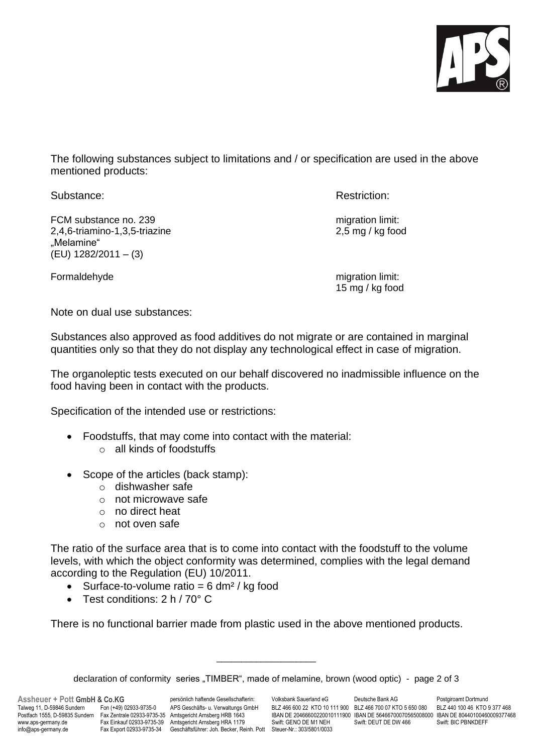

The following substances subject to limitations and / or specification are used in the above mentioned products:

Substance: Substance: Restriction: Restriction: Restriction: Restriction: Restriction:

FCM substance no. 239 migration limit: 2,4,6-triamino-1,3,5-triazine 2,5 mg / kg food "Melamine" (EU) 1282/2011 – (3)

Formaldehyde migration limit:

15 mg / kg food

Note on dual use substances:

Substances also approved as food additives do not migrate or are contained in marginal quantities only so that they do not display any technological effect in case of migration.

The organoleptic tests executed on our behalf discovered no inadmissible influence on the food having been in contact with the products.

Specification of the intended use or restrictions:

- Foodstuffs, that may come into contact with the material:
	- o all kinds of foodstuffs
- Scope of the articles (back stamp):
	- o dishwasher safe
	- o not microwave safe
	- o no direct heat
	- o not oven safe

The ratio of the surface area that is to come into contact with the foodstuff to the volume levels, with which the object conformity was determined, complies with the legal demand according to the Regulation (EU) 10/2011.

- Surface-to-volume ratio =  $6 \, \text{dm}^2$  / kg food
- Test conditions: 2 h / 70° C

There is no functional barrier made from plastic used in the above mentioned products.

\_\_\_\_\_\_\_\_\_\_\_\_\_\_\_\_\_\_\_\_

**Assheuer + Pott GmbH & Co.KG** persönlich haftende Gesellschafterin: Volksbank Sauerland eG Deutsche Bank AG Postgiroamt Dortmund Talweg 11, D-59846 Sundern Fon (+49) 02933-9735-0 APS Geschäfts- u. Verwaltungs GmbH BLZ 466 600 22 KTO 10 111 900 BLZ 466 700 07 KTO 5 650 080 BLZ 440 100 46 KTO 9 377 468 info@aps-germany.de Fax Export 02933-9735-34 Geschäftsführer: Joh. Becker, Reinh. Pott Steuer-Nr.: 303/5801/0033

POSTFACH 1566600220010111900 IBAN DE 56466700070565008000 IBAN DE 80440100460009377468<br>Swift: GENO DE M1 NEH Swift: DEUT DE DW 466 Swift: BIC PRNKDEFE

declaration of conformity series "TIMBER", made of melamine, brown (wood optic) - page 2 of 3